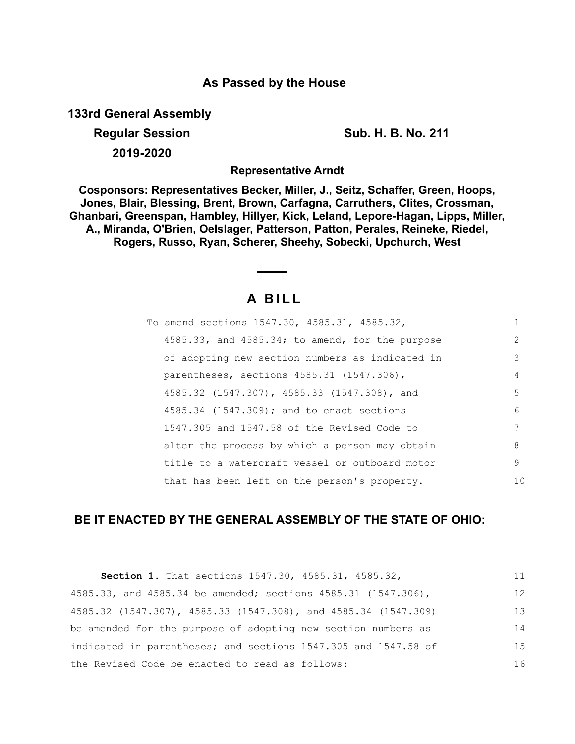# **As Passed by the House**

**133rd General Assembly**

**Regular Session Sub. H. B. No. 211 2019-2020**

**Representative Arndt**

**Cosponsors: Representatives Becker, Miller, J., Seitz, Schaffer, Green, Hoops, Jones, Blair, Blessing, Brent, Brown, Carfagna, Carruthers, Clites, Crossman, Ghanbari, Greenspan, Hambley, Hillyer, Kick, Leland, Lepore-Hagan, Lipps, Miller, A., Miranda, O'Brien, Oelslager, Patterson, Patton, Perales, Reineke, Riedel, Rogers, Russo, Ryan, Scherer, Sheehy, Sobecki, Upchurch, West**

# **A B I L L**

| To amend sections 1547.30, 4585.31, 4585.32,    | 1  |
|-------------------------------------------------|----|
| 4585.33, and 4585.34; to amend, for the purpose | 2  |
| of adopting new section numbers as indicated in | 3  |
| parentheses, sections 4585.31 (1547.306),       | 4  |
| 4585.32 (1547.307), 4585.33 (1547.308), and     | 5  |
| 4585.34 (1547.309); and to enact sections       | 6  |
| 1547.305 and 1547.58 of the Revised Code to     |    |
| alter the process by which a person may obtain  | 8  |
| title to a watercraft vessel or outboard motor  | 9  |
| that has been left on the person's property.    | 10 |

# **BE IT ENACTED BY THE GENERAL ASSEMBLY OF THE STATE OF OHIO:**

| <b>Section 1.</b> That sections 1547.30, 4585.31, 4585.32,     | 11 |
|----------------------------------------------------------------|----|
| 4585.33, and 4585.34 be amended; sections 4585.31 (1547.306),  | 12 |
| 4585.32 (1547.307), 4585.33 (1547.308), and 4585.34 (1547.309) | 13 |
| be amended for the purpose of adopting new section numbers as  | 14 |
| indicated in parentheses; and sections 1547.305 and 1547.58 of | 15 |
| the Revised Code be enacted to read as follows:                | 16 |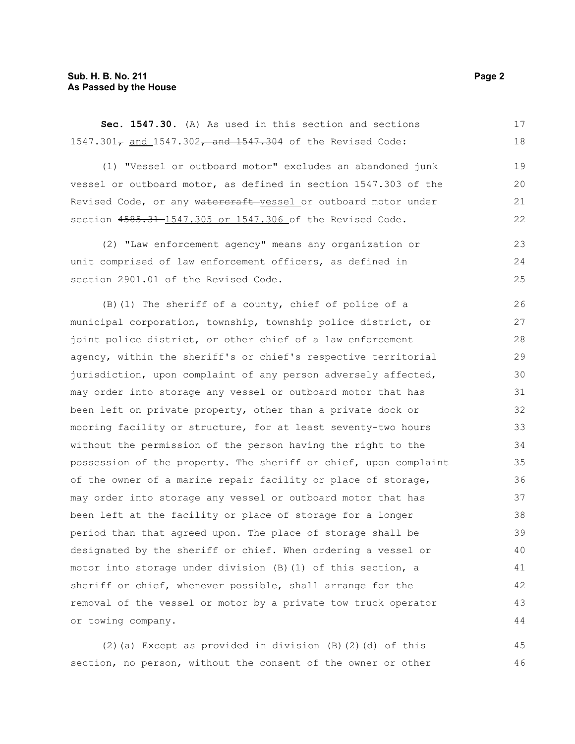### **Sub. H. B. No. 211 Page 2 As Passed by the House**

or towing company.

**Sec. 1547.30.** (A) As used in this section and sections  $1547.301<sub>\tau</sub>$  and  $1547.302<sub>\tau</sub>$  and  $1547.304$  of the Revised Code: (1) "Vessel or outboard motor" excludes an abandoned junk vessel or outboard motor, as defined in section 1547.303 of the Revised Code, or any watercraft vessel or outboard motor under section 4585.31 1547.305 or 1547.306 of the Revised Code. (2) "Law enforcement agency" means any organization or unit comprised of law enforcement officers, as defined in section 2901.01 of the Revised Code. (B)(1) The sheriff of a county, chief of police of a municipal corporation, township, township police district, or joint police district, or other chief of a law enforcement agency, within the sheriff's or chief's respective territorial jurisdiction, upon complaint of any person adversely affected, may order into storage any vessel or outboard motor that has been left on private property, other than a private dock or mooring facility or structure, for at least seventy-two hours without the permission of the person having the right to the possession of the property. The sheriff or chief, upon complaint of the owner of a marine repair facility or place of storage, may order into storage any vessel or outboard motor that has been left at the facility or place of storage for a longer period than that agreed upon. The place of storage shall be designated by the sheriff or chief. When ordering a vessel or motor into storage under division (B)(1) of this section, a sheriff or chief, whenever possible, shall arrange for the removal of the vessel or motor by a private tow truck operator 17 18 19 20 21 22 23 24 25 26 27 28 29 30 31 32 33 34 35 36 37 38 39 40 41 42 43

(2)(a) Except as provided in division (B)(2)(d) of this section, no person, without the consent of the owner or other 45 46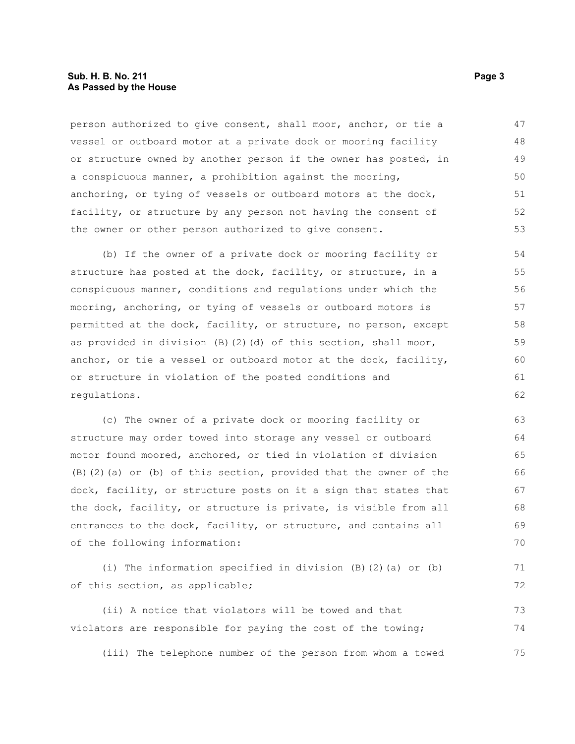## **Sub. H. B. No. 211 Page 3 As Passed by the House**

person authorized to give consent, shall moor, anchor, or tie a vessel or outboard motor at a private dock or mooring facility or structure owned by another person if the owner has posted, in a conspicuous manner, a prohibition against the mooring, anchoring, or tying of vessels or outboard motors at the dock, facility, or structure by any person not having the consent of the owner or other person authorized to give consent. 47 48 49 50 51 52 53

(b) If the owner of a private dock or mooring facility or structure has posted at the dock, facility, or structure, in a conspicuous manner, conditions and regulations under which the mooring, anchoring, or tying of vessels or outboard motors is permitted at the dock, facility, or structure, no person, except as provided in division  $(B)$  (2)(d) of this section, shall moor, anchor, or tie a vessel or outboard motor at the dock, facility, or structure in violation of the posted conditions and regulations. 54 55 56 57 58 59 60 61 62

(c) The owner of a private dock or mooring facility or structure may order towed into storage any vessel or outboard motor found moored, anchored, or tied in violation of division (B)(2)(a) or (b) of this section, provided that the owner of the dock, facility, or structure posts on it a sign that states that the dock, facility, or structure is private, is visible from all entrances to the dock, facility, or structure, and contains all of the following information: 63 64 65 66 67 68 69 70

(i) The information specified in division (B)(2)(a) or (b) of this section, as applicable;

(ii) A notice that violators will be towed and that violators are responsible for paying the cost of the towing; 73 74

(iii) The telephone number of the person from whom a towed

71 72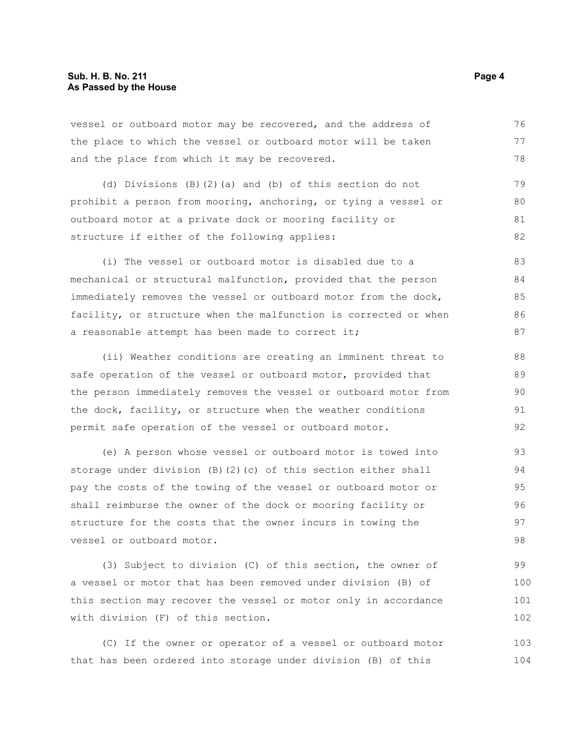vessel or outboard motor may be recovered, and the address of the place to which the vessel or outboard motor will be taken and the place from which it may be recovered. 76 77 78

(d) Divisions (B)(2)(a) and (b) of this section do not prohibit a person from mooring, anchoring, or tying a vessel or outboard motor at a private dock or mooring facility or structure if either of the following applies: 79 80 81 82

(i) The vessel or outboard motor is disabled due to a mechanical or structural malfunction, provided that the person immediately removes the vessel or outboard motor from the dock, facility, or structure when the malfunction is corrected or when a reasonable attempt has been made to correct it; 83 84 85 86 87

(ii) Weather conditions are creating an imminent threat to safe operation of the vessel or outboard motor, provided that the person immediately removes the vessel or outboard motor from the dock, facility, or structure when the weather conditions permit safe operation of the vessel or outboard motor.

(e) A person whose vessel or outboard motor is towed into storage under division (B)(2)(c) of this section either shall pay the costs of the towing of the vessel or outboard motor or shall reimburse the owner of the dock or mooring facility or structure for the costs that the owner incurs in towing the vessel or outboard motor. 93 94 95 96 97 98

(3) Subject to division (C) of this section, the owner of a vessel or motor that has been removed under division (B) of this section may recover the vessel or motor only in accordance with division (F) of this section. 99 100 101 102

(C) If the owner or operator of a vessel or outboard motor that has been ordered into storage under division (B) of this 103 104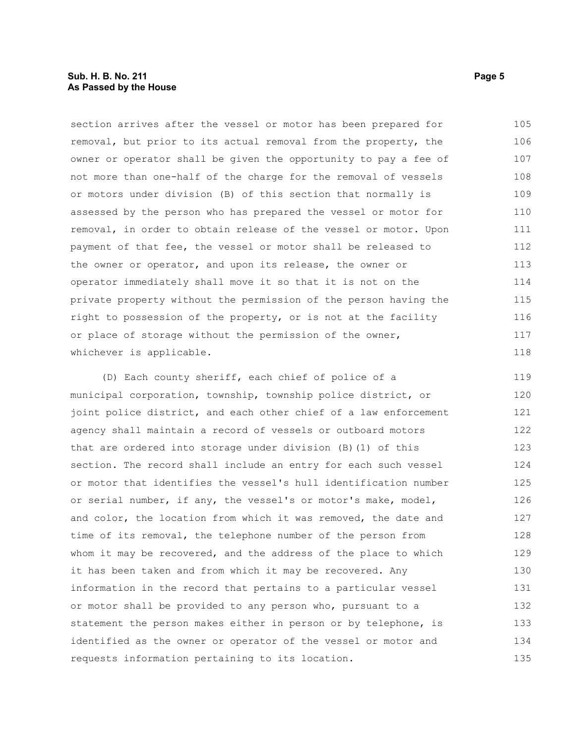## **Sub. H. B. No. 211 Page 5 As Passed by the House**

section arrives after the vessel or motor has been prepared for removal, but prior to its actual removal from the property, the owner or operator shall be given the opportunity to pay a fee of not more than one-half of the charge for the removal of vessels or motors under division (B) of this section that normally is assessed by the person who has prepared the vessel or motor for removal, in order to obtain release of the vessel or motor. Upon payment of that fee, the vessel or motor shall be released to the owner or operator, and upon its release, the owner or operator immediately shall move it so that it is not on the private property without the permission of the person having the right to possession of the property, or is not at the facility or place of storage without the permission of the owner, whichever is applicable. 105 106 107 108 109 110 111 112 113 114 115 116 117 118

(D) Each county sheriff, each chief of police of a municipal corporation, township, township police district, or joint police district, and each other chief of a law enforcement agency shall maintain a record of vessels or outboard motors that are ordered into storage under division (B)(1) of this section. The record shall include an entry for each such vessel or motor that identifies the vessel's hull identification number or serial number, if any, the vessel's or motor's make, model, and color, the location from which it was removed, the date and time of its removal, the telephone number of the person from whom it may be recovered, and the address of the place to which it has been taken and from which it may be recovered. Any information in the record that pertains to a particular vessel or motor shall be provided to any person who, pursuant to a statement the person makes either in person or by telephone, is identified as the owner or operator of the vessel or motor and requests information pertaining to its location. 119 120 121 122 123 124 125 126 127 128 129 130 131 132 133 134 135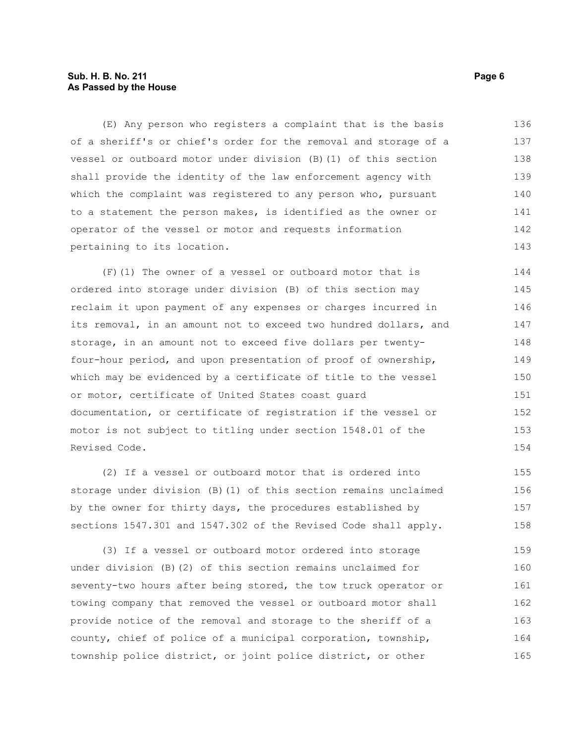## **Sub. H. B. No. 211 Page 6 As Passed by the House**

(E) Any person who registers a complaint that is the basis of a sheriff's or chief's order for the removal and storage of a vessel or outboard motor under division (B)(1) of this section shall provide the identity of the law enforcement agency with which the complaint was registered to any person who, pursuant to a statement the person makes, is identified as the owner or operator of the vessel or motor and requests information pertaining to its location. 136 137 138 139 140 141 142 143

(F)(1) The owner of a vessel or outboard motor that is ordered into storage under division (B) of this section may reclaim it upon payment of any expenses or charges incurred in its removal, in an amount not to exceed two hundred dollars, and storage, in an amount not to exceed five dollars per twentyfour-hour period, and upon presentation of proof of ownership, which may be evidenced by a certificate of title to the vessel or motor, certificate of United States coast guard documentation, or certificate of registration if the vessel or motor is not subject to titling under section 1548.01 of the Revised Code. 144 145 147 153

(2) If a vessel or outboard motor that is ordered into storage under division (B)(1) of this section remains unclaimed by the owner for thirty days, the procedures established by sections 1547.301 and 1547.302 of the Revised Code shall apply.

(3) If a vessel or outboard motor ordered into storage under division (B)(2) of this section remains unclaimed for seventy-two hours after being stored, the tow truck operator or towing company that removed the vessel or outboard motor shall provide notice of the removal and storage to the sheriff of a county, chief of police of a municipal corporation, township, township police district, or joint police district, or other 159 160 161 162 163 164 165

146

154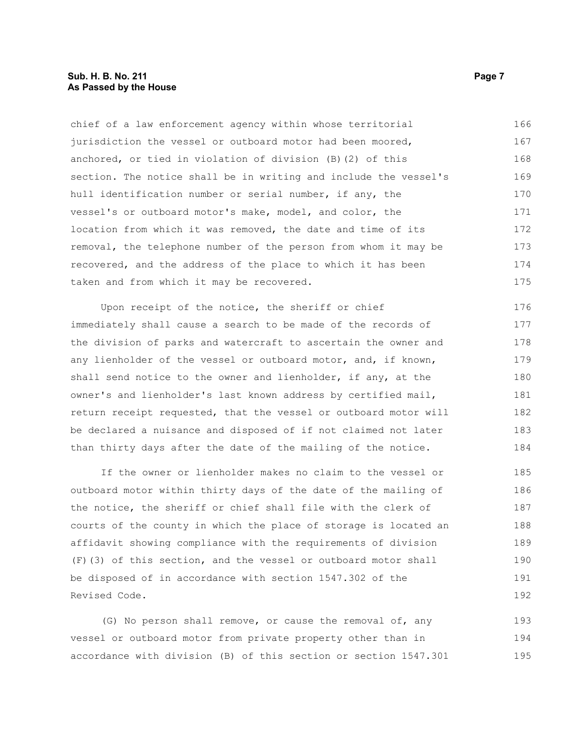### **Sub. H. B. No. 211 Page 7 As Passed by the House**

chief of a law enforcement agency within whose territorial jurisdiction the vessel or outboard motor had been moored, anchored, or tied in violation of division (B)(2) of this section. The notice shall be in writing and include the vessel's hull identification number or serial number, if any, the vessel's or outboard motor's make, model, and color, the location from which it was removed, the date and time of its removal, the telephone number of the person from whom it may be recovered, and the address of the place to which it has been taken and from which it may be recovered. 166 167 168 169 170 171 172 173 174 175

Upon receipt of the notice, the sheriff or chief immediately shall cause a search to be made of the records of the division of parks and watercraft to ascertain the owner and any lienholder of the vessel or outboard motor, and, if known, shall send notice to the owner and lienholder, if any, at the owner's and lienholder's last known address by certified mail, return receipt requested, that the vessel or outboard motor will be declared a nuisance and disposed of if not claimed not later than thirty days after the date of the mailing of the notice. 176 177 178 179 180 181 182 183 184

If the owner or lienholder makes no claim to the vessel or outboard motor within thirty days of the date of the mailing of the notice, the sheriff or chief shall file with the clerk of courts of the county in which the place of storage is located an affidavit showing compliance with the requirements of division (F)(3) of this section, and the vessel or outboard motor shall be disposed of in accordance with section 1547.302 of the Revised Code. 185 186 187 188 189 190 191 192

(G) No person shall remove, or cause the removal of, any vessel or outboard motor from private property other than in accordance with division (B) of this section or section 1547.301 193 194 195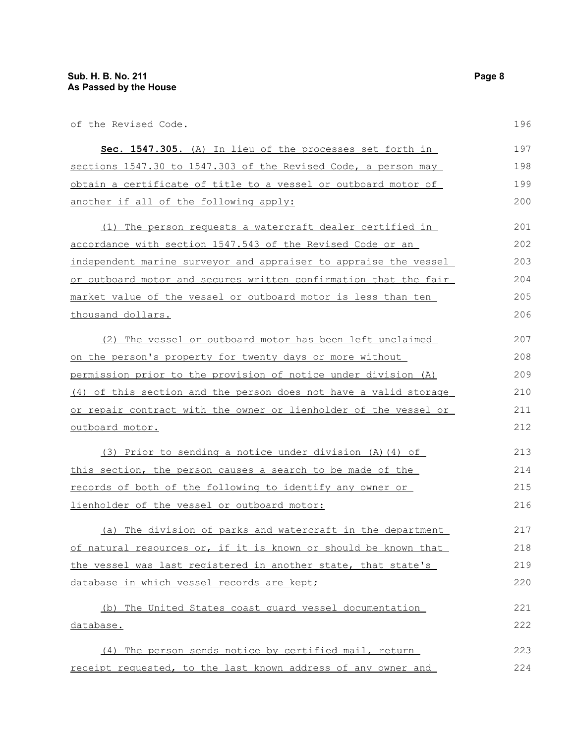| of the Revised Code.                                             | 196 |
|------------------------------------------------------------------|-----|
| Sec. 1547.305. (A) In lieu of the processes set forth in         | 197 |
| sections 1547.30 to 1547.303 of the Revised Code, a person may   | 198 |
| obtain a certificate of title to a vessel or outboard motor of   | 199 |
| another if all of the following apply:                           | 200 |
| (1) The person requests a watercraft dealer certified in         | 201 |
| accordance with section 1547.543 of the Revised Code or an       | 202 |
| independent marine surveyor and appraiser to appraise the vessel | 203 |
| or outboard motor and secures written confirmation that the fair | 204 |
| market value of the vessel or outboard motor is less than ten    | 205 |
| thousand dollars.                                                | 206 |
| (2) The vessel or outboard motor has been left unclaimed         | 207 |
| on the person's property for twenty days or more without         | 208 |
| permission prior to the provision of notice under division (A)   | 209 |
| (4) of this section and the person does not have a valid storage | 210 |
| or repair contract with the owner or lienholder of the vessel or | 211 |
| <u>outboard motor.</u>                                           | 212 |
| (3) Prior to sending a notice under division (A) (4) of          | 213 |
| this section, the person causes a search to be made of the       | 214 |
| records of both of the following to identify any owner or        | 215 |
| lienholder of the vessel or outboard motor:                      | 216 |
| (a) The division of parks and watercraft in the department       | 217 |
| of natural resources or, if it is known or should be known that  | 218 |
| the vessel was last registered in another state, that state's    | 219 |
| database in which vessel records are kept;                       | 220 |
| (b) The United States coast guard vessel documentation           | 221 |
| database.                                                        | 222 |
| (4) The person sends notice by certified mail, return            | 223 |
| receipt requested, to the last known address of any owner and    | 224 |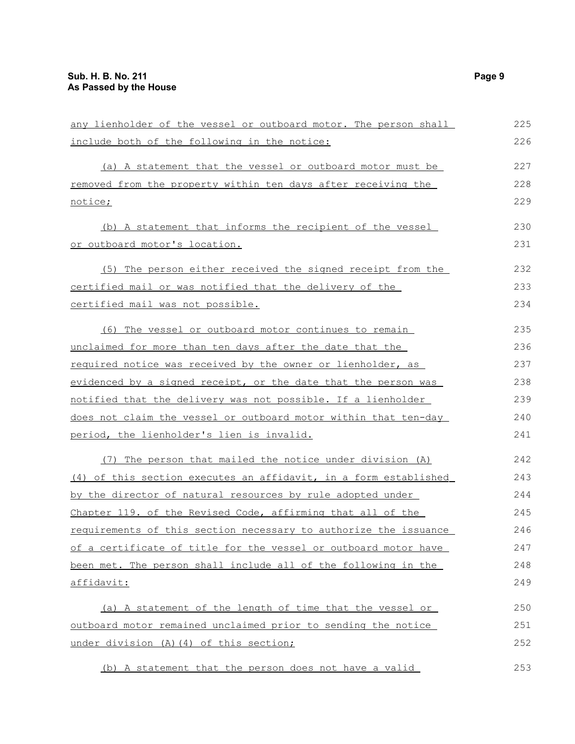| any lienholder of the vessel or outboard motor. The person shall        | 225 |
|-------------------------------------------------------------------------|-----|
| include both of the following in the notice:                            | 226 |
| (a) A statement that the vessel or outboard motor must be               | 227 |
| removed from the property within ten days after receiving the           | 228 |
| notice;                                                                 | 229 |
| (b) A statement that informs the recipient of the vessel                | 230 |
| <u>or outboard motor's location.</u>                                    | 231 |
| (5) The person either received the signed receipt from the              | 232 |
| certified mail or was notified that the delivery of the                 | 233 |
| certified mail was not possible.                                        | 234 |
| (6) The vessel or outboard motor continues to remain                    | 235 |
| unclaimed for more than ten days after the date that the                | 236 |
| required notice was received by the owner or lienholder, as             | 237 |
| evidenced by a signed receipt, or the date that the person was          | 238 |
| notified that the delivery was not possible. If a lienholder            | 239 |
| does not claim the vessel or outboard motor within that ten-day         | 240 |
| period, the lienholder's lien is invalid.                               | 241 |
| (7) The person that mailed the notice under division (A)                | 242 |
| (4) of this section executes an affidavit, in a form established        | 243 |
| by the director of natural resources by rule adopted under              | 244 |
| Chapter 119. of the Revised Code, affirming that all of the             | 245 |
| <u>requirements of this section necessary to authorize the issuance</u> | 246 |
| of a certificate of title for the vessel or outboard motor have         | 247 |
| been met. The person shall include all of the following in the          | 248 |
| affidavit:                                                              | 249 |
| (a) A statement of the length of time that the vessel or                | 250 |
| outboard motor remained unclaimed prior to sending the notice           | 251 |
| under division (A) (4) of this section;                                 | 252 |
| (b) A statement that the person does not have a valid                   | 253 |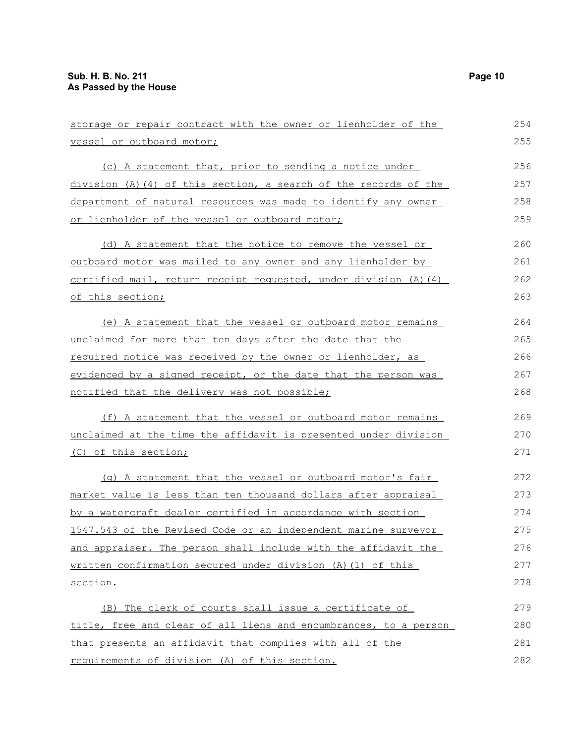| storage or repair contract with the owner or lienholder of the     | 254 |
|--------------------------------------------------------------------|-----|
| vessel or outboard motor;                                          | 255 |
| (c) A statement that, prior to sending a notice under              | 256 |
| division (A) (4) of this section, a search of the records of the   | 257 |
| department of natural resources was made to identify any owner     | 258 |
| or lienholder of the vessel or outboard motor;                     | 259 |
| (d) A statement that the notice to remove the vessel or            | 260 |
| outboard motor was mailed to any owner and any lienholder by       | 261 |
| certified mail, return receipt requested, under division (A) (4)   | 262 |
| of this section;                                                   | 263 |
| (e) A statement that the vessel or outboard motor remains          | 264 |
| unclaimed for more than ten days after the date that the           | 265 |
| <u>required notice was received by the owner or lienholder, as</u> | 266 |
| evidenced by a signed receipt, or the date that the person was     | 267 |
| notified that the delivery was not possible;                       | 268 |
| (f) A statement that the vessel or outboard motor remains          | 269 |
| unclaimed at the time the affidavit is presented under division    | 270 |
| (C) of this section;                                               | 271 |
| (g) A statement that the vessel or outboard motor's fair           | 272 |
| market value is less than ten thousand dollars after appraisal     | 273 |
| by a watercraft dealer certified in accordance with section        | 274 |
| 1547.543 of the Revised Code or an independent marine surveyor     | 275 |
| and appraiser. The person shall include with the affidavit the     | 276 |
| written confirmation secured under division (A) (1) of this        | 277 |
| section.                                                           | 278 |
| (B) The clerk of courts shall issue a certificate of               | 279 |
| title, free and clear of all liens and encumbrances, to a person   | 280 |
| that presents an affidavit that complies with all of the           | 281 |
| requirements of division (A) of this section.                      | 282 |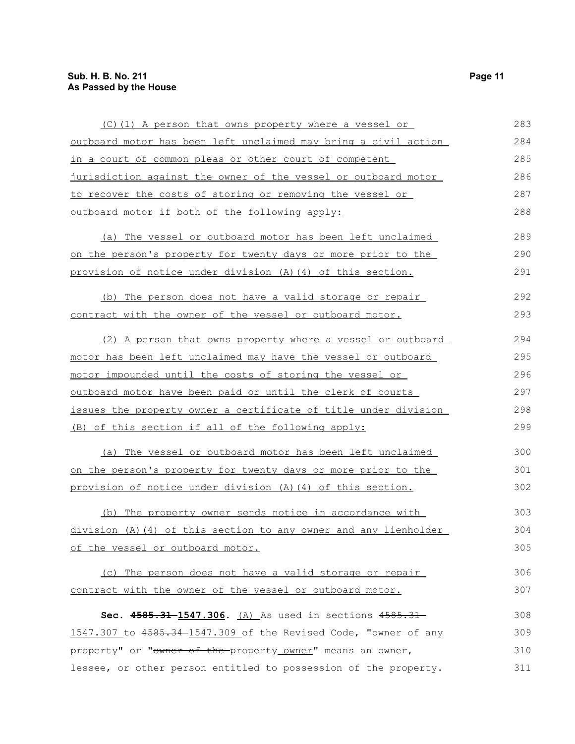| (C)(1) A person that owns property where a vessel or             | 283 |
|------------------------------------------------------------------|-----|
| outboard motor has been left unclaimed may bring a civil action  | 284 |
| in a court of common pleas or other court of competent           | 285 |
| jurisdiction against the owner of the vessel or outboard motor   | 286 |
| to recover the costs of storing or removing the vessel or        | 287 |
| outboard motor if both of the following apply:                   | 288 |
| (a) The vessel or outboard motor has been left unclaimed         | 289 |
|                                                                  |     |
| on the person's property for twenty days or more prior to the    | 290 |
| provision of notice under division (A) (4) of this section.      | 291 |
| (b) The person does not have a valid storage or repair           | 292 |
| contract with the owner of the vessel or outboard motor.         | 293 |
|                                                                  |     |
| (2) A person that owns property where a vessel or outboard       | 294 |
| motor has been left unclaimed may have the vessel or outboard    | 295 |
| motor impounded until the costs of storing the vessel or         | 296 |
| outboard motor have been paid or until the clerk of courts       | 297 |
| issues the property owner a certificate of title under division  | 298 |
| (B) of this section if all of the following apply:               | 299 |
| (a) The vessel or outboard motor has been left unclaimed         | 300 |
| on the person's property for twenty days or more prior to the    | 301 |
| provision of notice under division (A)(4) of this section.       | 302 |
| (b) The property owner sends notice in accordance with           | 303 |
| division (A) (4) of this section to any owner and any lienholder | 304 |
| of the vessel or outboard motor.                                 | 305 |
|                                                                  | 306 |
| (c) The person does not have a valid storage or repair           |     |
| contract with the owner of the vessel or outboard motor.         | 307 |
| Sec. 4585.31-1547.306. (A) As used in sections 4585.31-          | 308 |
| 1547.307 to 4585.34 1547.309 of the Revised Code, "owner of any  | 309 |
| property" or "owner of the property owner" means an owner,       | 310 |
| lessee, or other person entitled to possession of the property.  | 311 |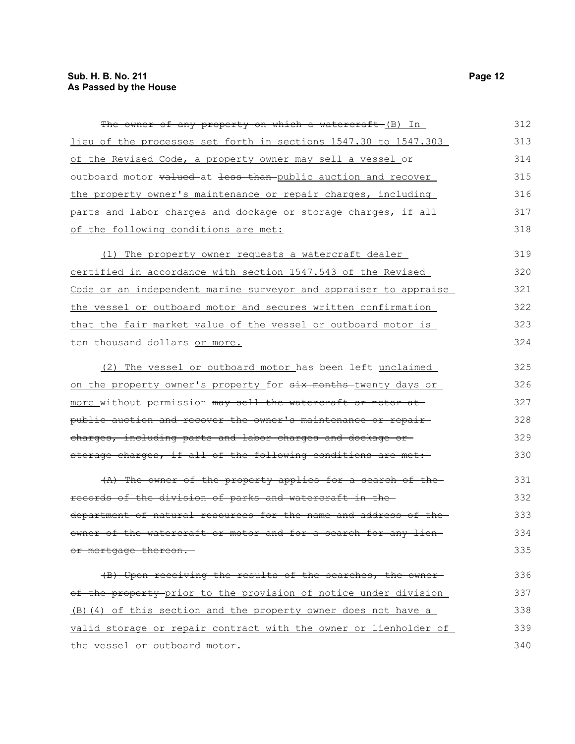| The owner of any property on which a watercraft (B) In           | 312 |
|------------------------------------------------------------------|-----|
| lieu of the processes set forth in sections 1547.30 to 1547.303  | 313 |
| of the Revised Code, a property owner may sell a vessel or       | 314 |
| outboard motor valued at less than public auction and recover    | 315 |
| the property owner's maintenance or repair charges, including    | 316 |
| parts and labor charges and dockage or storage charges, if all   | 317 |
| of the following conditions are met:                             | 318 |
| (1) The property owner requests a watercraft dealer              | 319 |
| certified in accordance with section 1547.543 of the Revised     | 320 |
| Code or an independent marine surveyor and appraiser to appraise | 321 |
| the vessel or outboard motor and secures written confirmation    | 322 |
| that the fair market value of the vessel or outboard motor is    | 323 |
| ten thousand dollars or more.                                    | 324 |
| (2) The vessel or outboard motor has been left unclaimed         | 325 |
| on the property owner's property for six months-twenty days or   | 326 |
| more without permission may sell the watercraft or motor at      | 327 |
| public auction and recover the owner's maintenance or repair-    | 328 |
| charges, including parts and labor charges and dockage or-       | 329 |
| storage charges, if all of the following conditions are met:     | 330 |
| (A) The owner of the property applies for a search of the        | 331 |
| records of the division of parks and watercraft in the-          | 332 |
| department of natural resources for the name and address of the- | 333 |
| owner of the watercraft or motor and for a search for any lien-  | 334 |
| or mortgage thereon.                                             | 335 |
| (B) Upon receiving the results of the searches, the owner-       | 336 |
| of the property prior to the provision of notice under division  | 337 |
| (B) (4) of this section and the property owner does not have a   | 338 |
| valid storage or repair contract with the owner or lienholder of | 339 |
| the vessel or outboard motor.                                    | 340 |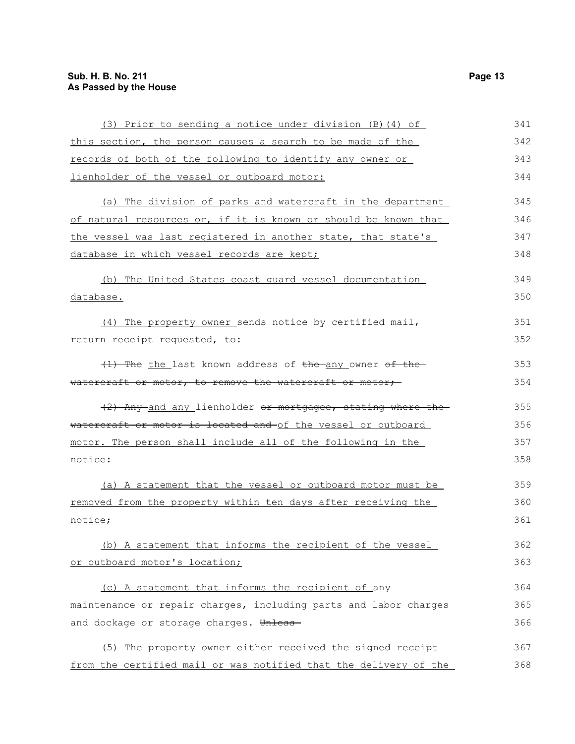| (3) Prior to sending a notice under division (B) (4) of          | 341 |
|------------------------------------------------------------------|-----|
| this section, the person causes a search to be made of the       | 342 |
| records of both of the following to identify any owner or        | 343 |
| lienholder of the vessel or outboard motor:                      | 344 |
|                                                                  | 345 |
| (a) The division of parks and watercraft in the department       |     |
| of natural resources or, if it is known or should be known that  | 346 |
| the vessel was last registered in another state, that state's    | 347 |
| database in which vessel records are kept;                       | 348 |
| (b) The United States coast quard vessel documentation           | 349 |
| database.                                                        | 350 |
| (4) The property owner sends notice by certified mail,           | 351 |
| return receipt requested, to:                                    | 352 |
| (1) The the last known address of the any owner of the           | 353 |
| watercraft or motor, to remove the watercraft or motor;          | 354 |
| (2) Any and any lienholder or mortgagee, stating where the       | 355 |
| watercraft or motor is located and of the vessel or outboard     | 356 |
| motor. The person shall include all of the following in the      | 357 |
| notice:                                                          | 358 |
|                                                                  |     |
| (a) A statement that the vessel or outboard motor must be        | 359 |
| removed from the property within ten days after receiving the    | 360 |
| notice;                                                          | 361 |
| (b) A statement that informs the recipient of the vessel         | 362 |
| or outboard motor's location;                                    | 363 |
| (c) A statement that informs the recipient of any                | 364 |
| maintenance or repair charges, including parts and labor charges | 365 |
| and dockage or storage charges. Unless-                          | 366 |
| (5) The property owner either received the signed receipt        | 367 |
| from the certified mail or was notified that the delivery of the | 368 |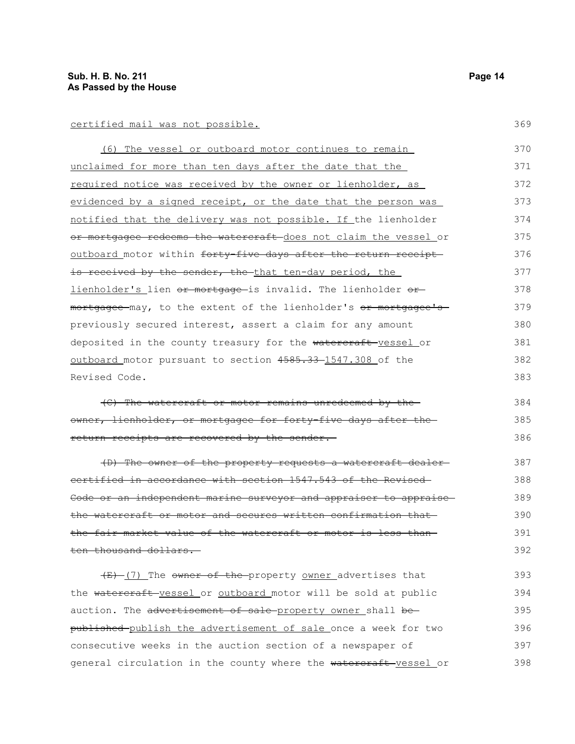(6) The vessel or outboard motor continues to remain unclaimed for more than ten days after the date that the required notice was received by the owner or lienholder, as evidenced by a signed receipt, or the date that the person was notified that the delivery was not possible. If the lienholder or mortgagee redeems the watercraft does not claim the vessel or outboard motor within forty five days after the return receiptis received by the sender, the that ten-day period, the lienholder's lien or mortgage-is invalid. The lienholder or mortgagee may, to the extent of the lienholder's or mortgagee'spreviously secured interest, assert a claim for any amount deposited in the county treasury for the watercraft-vessel or outboard motor pursuant to section 4585.33 1547.308 of the Revised Code. 370 371 372 373 374 375 376 377 378 379 380 381 382 383

(C) The watercraft or motor remains unredeemed by the owner, lienholder, or mortgagee for forty-five days after the return receipts are recovered by the sender.

(D) The owner of the property requests a watercraft dealer certified in accordance with section 1547.543 of the Revised Code or an independent marine surveyor and appraiser to appraise the watercraft or motor and secures written confirmation that the fair market value of the watercraft or motor is less than ten thousand dollars. 387 388 389 390 391 392

(F) (7) The owner of the property owner advertises that the watercraft vessel or outboard motor will be sold at public auction. The advertisement of sale-property owner shall bepublished publish the advertisement of sale once a week for two consecutive weeks in the auction section of a newspaper of general circulation in the county where the watercraft-vessel or 393 394 395 396 397 398

369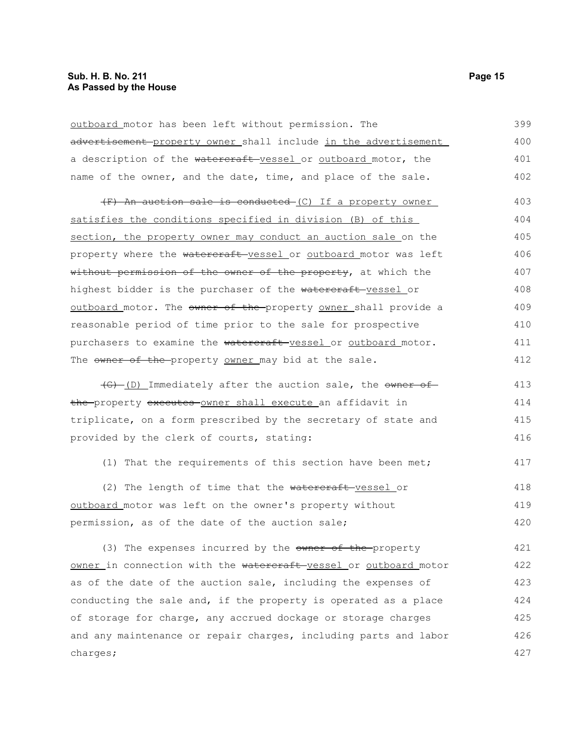outboard motor has been left without permission. The advertisement property owner shall include in the advertisement a description of the watercraft vessel or outboard motor, the name of the owner, and the date, time, and place of the sale. 399 400 401 402

(F) An auction sale is conducted (C) If a property owner satisfies the conditions specified in division (B) of this section, the property owner may conduct an auction sale on the property where the watercraft-vessel or outboard motor was left without permission of the owner of the property, at which the highest bidder is the purchaser of the watercraft-yessel or outboard motor. The owner of the property owner shall provide a reasonable period of time prior to the sale for prospective purchasers to examine the watercraft vessel or outboard motor. The owner of the property owner may bid at the sale. 403 404 405 406 407 408 409 410 411 412

(G) (D) Immediately after the auction sale, the owner of the property executes owner shall execute an affidavit in triplicate, on a form prescribed by the secretary of state and provided by the clerk of courts, stating: 413 414 415 416

(1) That the requirements of this section have been met; 417

(2) The length of time that the watercraft vessel or outboard motor was left on the owner's property without permission, as of the date of the auction sale; 418 419 420

(3) The expenses incurred by the owner of the property owner in connection with the watercraft vessel or outboard motor as of the date of the auction sale, including the expenses of conducting the sale and, if the property is operated as a place of storage for charge, any accrued dockage or storage charges and any maintenance or repair charges, including parts and labor charges; 421 422 423 424 425 426 427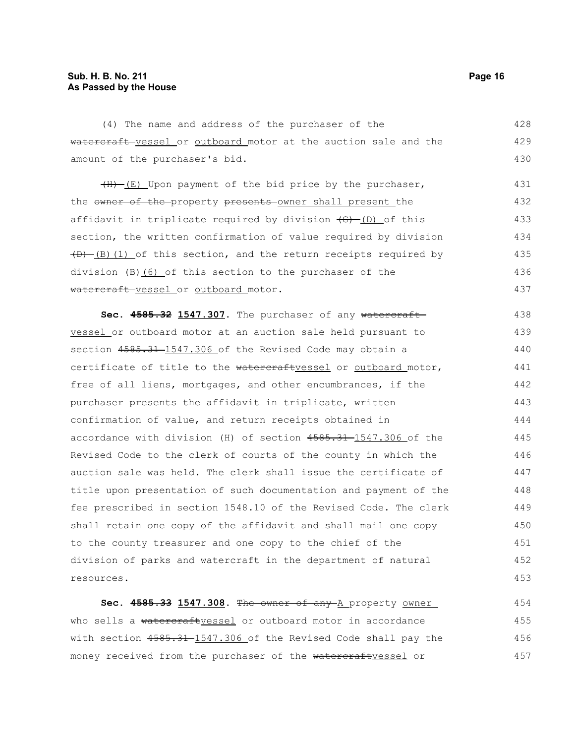(4) The name and address of the purchaser of the watercraft-vessel or outboard motor at the auction sale and the amount of the purchaser's bid. 428 429 430

 $(H)$  (E) Upon payment of the bid price by the purchaser, the owner of the property presents owner shall present the affidavit in triplicate required by division  $\left(\overline{G}\right)$  (D) of this section, the written confirmation of value required by division (D) (B)(1) of this section, and the return receipts required by division (B)(6) of this section to the purchaser of the watercraft vessel or outboard motor. 431 432 433 434 435 436 437

Sec. 4585.32 1547.307. The purchaser of any watercraftvessel or outboard motor at an auction sale held pursuant to section 4585.31-1547.306 of the Revised Code may obtain a certificate of title to the watercraftvessel or outboard motor, free of all liens, mortgages, and other encumbrances, if the purchaser presents the affidavit in triplicate, written confirmation of value, and return receipts obtained in accordance with division (H) of section  $4585.31-1547.306$  of the Revised Code to the clerk of courts of the county in which the auction sale was held. The clerk shall issue the certificate of title upon presentation of such documentation and payment of the fee prescribed in section 1548.10 of the Revised Code. The clerk shall retain one copy of the affidavit and shall mail one copy to the county treasurer and one copy to the chief of the division of parks and watercraft in the department of natural resources. 438 439 440 441 442 443 444 445 446 447 448 449 450 451 452 453

Sec. 4585.33 1547.308. The owner of any A property owner who sells a watercraftyessel or outboard motor in accordance with section 4585.31 1547.306 of the Revised Code shall pay the money received from the purchaser of the watercraftyessel or 454 455 456 457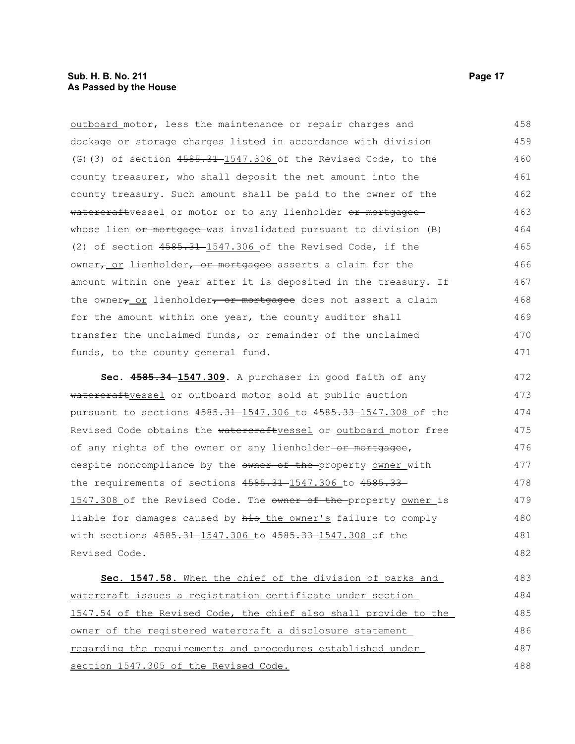outboard motor, less the maintenance or repair charges and dockage or storage charges listed in accordance with division (G)(3) of section  $4585.31 - 1547.306$  of the Revised Code, to the county treasurer, who shall deposit the net amount into the county treasury. Such amount shall be paid to the owner of the watercraftyessel or motor or to any lienholder or mortgagee whose lien  $o$  mortgage was invalidated pursuant to division  $(B)$ (2) of section 4585.31 1547.306 of the Revised Code, if the owner $<sub>\tau</sub>$  or lienholder, or mortgagee asserts a claim for the</sub> amount within one year after it is deposited in the treasury. If the owner<sub>7</sub> or lienholder, or mortgagee does not assert a claim for the amount within one year, the county auditor shall transfer the unclaimed funds, or remainder of the unclaimed funds, to the county general fund. 458 459 460 461 462 463 464 465 466 467 468 469 470 471

**Sec. 4585.34 1547.309.** A purchaser in good faith of any watercraftvessel or outboard motor sold at public auction pursuant to sections 4585.31 1547.306 to 4585.33 1547.308 of the Revised Code obtains the watercraftvessel or outboard motor free of any rights of the owner or any lienholder-or mortgagee, despite noncompliance by the owner of the property owner with the requirements of sections 4585.31 1547.306 to 4585.33 1547.308 of the Revised Code. The owner of the property owner is liable for damages caused by his the owner's failure to comply with sections 4585.31 1547.306 to 4585.33 1547.308 of the Revised Code. 472 473 474 475 476 477 478 479 480 481 482

 **Sec. 1547.58.** When the chief of the division of parks and watercraft issues a registration certificate under section 1547.54 of the Revised Code, the chief also shall provide to the owner of the registered watercraft a disclosure statement regarding the requirements and procedures established under section 1547.305 of the Revised Code. 483 484 485 486 487 488